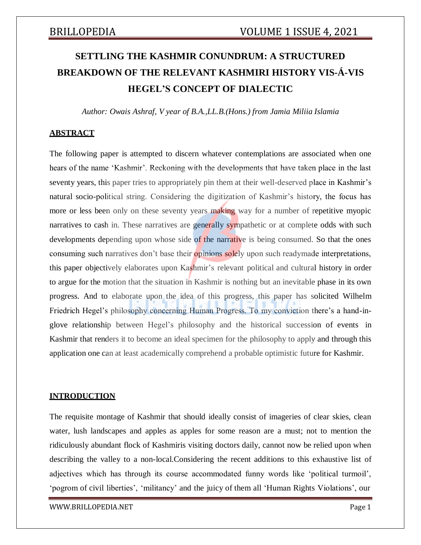# **SETTLING THE KASHMIR CONUNDRUM: A STRUCTURED BREAKDOWN OF THE RELEVANT KASHMIRI HISTORY VIS-Á-VIS HEGEL'S CONCEPT OF DIALECTIC**

*Author: Owais Ashraf, V year of B.A.,LL.B.(Hons.) from Jamia Miliia Islamia*

### **ABSTRACT**

The following paper is attempted to discern whatever contemplations are associated when one hears of the name 'Kashmir'. Reckoning with the developments that have taken place in the last seventy years, this paper tries to appropriately pin them at their well-deserved place in Kashmir's natural socio-political string. Considering the digitization of Kashmir's history, the focus has more or less been only on these seventy years making way for a number of repetitive myopic narratives to cash in. These narratives are generally sympathetic or at complete odds with such developments depending upon whose side of the narrative is being consumed. So that the ones consuming such narratives don't base their **opinions solely** upon such readymade interpretations, this paper objectively elaborates upon Kashmir's relevant political and cultural history in order to argue for the motion that the situation in Kashmir is nothing but an inevitable phase in its own progress. And to elaborate upon the idea of this progress, this paper has solicited Wilhelm Friedrich Hegel's philosophy concerning Human Progress. To my conviction there's a hand-inglove relationship between Hegel's philosophy and the historical succession of events in Kashmir that renders it to become an ideal specimen for the philosophy to apply and through this application one can at least academically comprehend a probable optimistic future for Kashmir.

### **INTRODUCTION**

The requisite montage of Kashmir that should ideally consist of imageries of clear skies, clean water, lush landscapes and apples as apples for some reason are a must; not to mention the ridiculously abundant flock of Kashmiris visiting doctors daily, cannot now be relied upon when describing the valley to a non-local.Considering the recent additions to this exhaustive list of adjectives which has through its course accommodated funny words like 'political turmoil', 'pogrom of civil liberties', 'militancy' and the juicy of them all 'Human Rights Violations', our

[WWW.BRILLOPEDIA.NET](http://www.brillopedia.net/) Page 1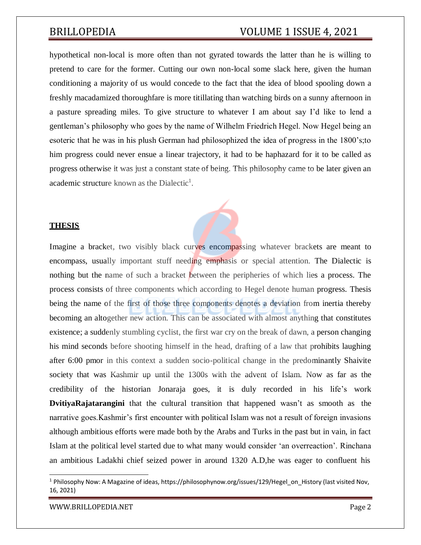hypothetical non-local is more often than not gyrated towards the latter than he is willing to pretend to care for the former. Cutting our own non-local some slack here, given the human conditioning a majority of us would concede to the fact that the idea of blood spooling down a freshly macadamized thoroughfare is more titillating than watching birds on a sunny afternoon in a pasture spreading miles. To give structure to whatever I am about say I'd like to lend a gentleman's philosophy who goes by the name of Wilhelm Friedrich Hegel. Now Hegel being an esoteric that he was in his plush German had philosophized the idea of progress in the 1800's;to him progress could never ensue a linear trajectory, it had to be haphazard for it to be called as progress otherwise it was just a constant state of being. This philosophy came to be later given an academic structure known as the Dialectic<sup>1</sup>.

### **THESIS**

Imagine a bracket, two visibly black curves encompassing whatever brackets are meant to encompass, usually important stuff needing emphasis or special attention. The Dialectic is nothing but the name of such a bracket between the peripheries of which lies a process. The process consists of three components which according to Hegel denote human progress. Thesis being the name of the first of those three components denotes a deviation from inertia thereby becoming an altogether new action. This can be associated with almost anything that constitutes existence; a suddenly stumbling cyclist, the first war cry on the break of dawn, a person changing his mind seconds before shooting himself in the head, drafting of a law that prohibits laughing after 6:00 pmor in this context a sudden socio-political change in the predominantly Shaivite society that was Kashmir up until the 1300s with the advent of Islam. Now as far as the credibility of the historian Jonaraja goes, it is duly recorded in his life's work **DvitiyaRajatarangini** that the cultural transition that happened wasn't as smooth as the narrative goes.Kashmir's first encounter with political Islam was not a result of foreign invasions although ambitious efforts were made both by the Arabs and Turks in the past but in vain, in fact Islam at the political level started due to what many would consider 'an overreaction'. Rinchana an ambitious Ladakhi chief seized power in around 1320 A.D,he was eager to confluent his

[WWW.BRILLOPEDIA.NET](http://www.brillopedia.net/) **Page 2** 

<sup>&</sup>lt;sup>1</sup> Philosophy Now: A Magazine of ideas, https://philosophynow.org/issues/129/Hegel\_on\_History (last visited Nov, 16, 2021)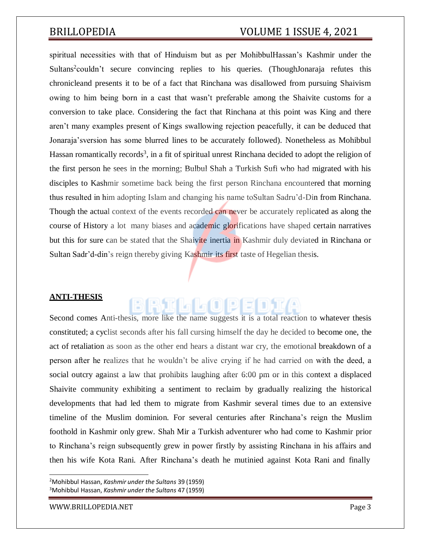spiritual necessities with that of Hinduism but as per MohibbulHassan's Kashmir under the Sultans<sup>2</sup>couldn't secure convincing replies to his queries. (ThoughJonaraja refutes this chronicleand presents it to be of a fact that Rinchana was disallowed from pursuing Shaivism owing to him being born in a cast that wasn't preferable among the Shaivite customs for a conversion to take place. Considering the fact that Rinchana at this point was King and there aren't many examples present of Kings swallowing rejection peacefully, it can be deduced that Jonaraja'sversion has some blurred lines to be accurately followed). Nonetheless as Mohibbul Hassan romantically records<sup>3</sup>, in a fit of spiritual unrest Rinchana decided to adopt the religion of the first person he sees in the morning; Bulbul Shah a Turkish Sufi who had migrated with his disciples to Kashmir sometime back being the first person Rinchana encountered that morning thus resulted in him adopting Islam and changing his name toSultan Sadru'd-Din from Rinchana. Though the actual context of the events recorded can never be accurately replicated as along the course of History a lot many biases and academic glorifications have shaped certain narratives but this for sure can be stated that the Shaivite inertia in Kashmir duly deviated in Rinchana or Sultan Sadr'd-din's reign thereby giving Kashmir its first taste of Hegelian thesis.

### **ANTI-THESIS**

Second comes Anti-thesis, more like the name suggests it is a total reaction to whatever thesis constituted; a cyclist seconds after his fall cursing himself the day he decided to become one, the act of retaliation as soon as the other end hears a distant war cry, the emotional breakdown of a person after he realizes that he wouldn't be alive crying if he had carried on with the deed, a social outcry against a law that prohibits laughing after 6:00 pm or in this context a displaced Shaivite community exhibiting a sentiment to reclaim by gradually realizing the historical developments that had led them to migrate from Kashmir several times due to an extensive timeline of the Muslim dominion. For several centuries after Rinchana's reign the Muslim foothold in Kashmir only grew. Shah Mir a Turkish adventurer who had come to Kashmir prior to Rinchana's reign subsequently grew in power firstly by assisting Rinchana in his affairs and then his wife Kota Rani. After Rinchana's death he mutinied against Kota Rani and finally

<sup>2</sup>Mohibbul Hassan, *Kashmir under the Sultans* 39 (1959) <sup>3</sup>Mohibbul Hassan, *Kashmir under the Sultans* 47 (1959)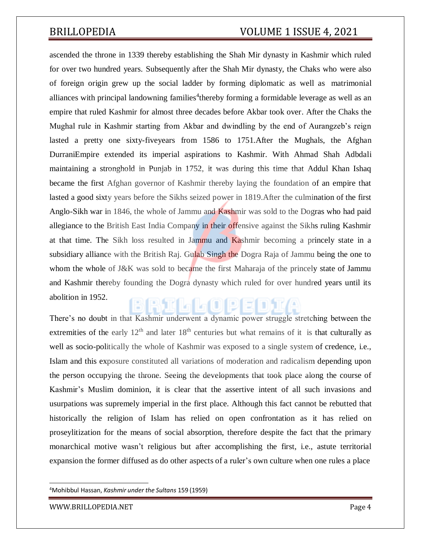ascended the throne in 1339 thereby establishing the Shah Mir dynasty in Kashmir which ruled for over two hundred years. Subsequently after the Shah Mir dynasty, the Chaks who were also of foreign origin grew up the social ladder by forming diplomatic as well as matrimonial alliances with principal landowning families<sup>4</sup> thereby forming a formidable leverage as well as an empire that ruled Kashmir for almost three decades before Akbar took over. After the Chaks the Mughal rule in Kashmir starting from Akbar and dwindling by the end of Aurangzeb's reign lasted a pretty one sixty-fiveyears from 1586 to 1751.After the Mughals, the Afghan DurraniEmpire extended its imperial aspirations to Kashmir. With Ahmad Shah Adbdali maintaining a stronghold in Punjab in 1752, it was during this time that Addul Khan Ishaq became the first Afghan governor of Kashmir thereby laying the foundation of an empire that lasted a good sixty years before the Sikhs seized power in 1819.After the culmination of the first Anglo-Sikh war in 1846, the whole of Jammu and Kashmir was sold to the Dogras who had paid allegiance to the British East India Company in their offensive against the Sikhs ruling Kashmir at that time. The Sikh loss resulted in Jammu and Kashmir becoming a princely state in a subsidiary alliance with the British Raj. Gulab Singh the Dogra Raja of Jammu being the one to whom the whole of J&K was sold to became the first Maharaja of the princely state of Jammu and Kashmir thereby founding the Dogra dynasty which ruled for over hundred years until its abolition in 1952.

There's no doubt in that Kashmir underwent a dynamic power struggle stretching between the extremities of the early  $12<sup>th</sup>$  and later  $18<sup>th</sup>$  centuries but what remains of it is that culturally as well as socio-politically the whole of Kashmir was exposed to a single system of credence, i.e., Islam and this exposure constituted all variations of moderation and radicalism depending upon the person occupying the throne. Seeing the developments that took place along the course of Kashmir's Muslim dominion, it is clear that the assertive intent of all such invasions and usurpations was supremely imperial in the first place. Although this fact cannot be rebutted that historically the religion of Islam has relied on open confrontation as it has relied on proseylitization for the means of social absorption, therefore despite the fact that the primary monarchical motive wasn't religious but after accomplishing the first, i.e., astute territorial expansion the former diffused as do other aspects of a ruler's own culture when one rules a place

<sup>4</sup>Mohibbul Hassan, *Kashmir under the Sultans* 159 (1959)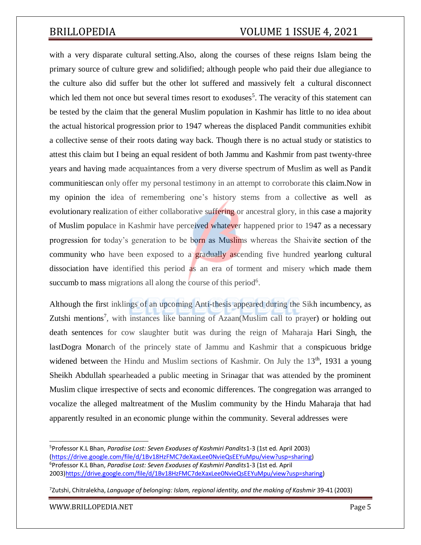with a very disparate cultural setting.Also, along the courses of these reigns Islam being the primary source of culture grew and solidified; although people who paid their due allegiance to the culture also did suffer but the other lot suffered and massively felt a cultural disconnect which led them not once but several times resort to exoduses<sup>5</sup>. The veracity of this statement can be tested by the claim that the general Muslim population in Kashmir has little to no idea about the actual historical progression prior to 1947 whereas the displaced Pandit communities exhibit a collective sense of their roots dating way back. Though there is no actual study or statistics to attest this claim but I being an equal resident of both Jammu and Kashmir from past twenty-three years and having made acquaintances from a very diverse spectrum of Muslim as well as Pandit communitiescan only offer my personal testimony in an attempt to corroborate this claim.Now in my opinion the idea of remembering one's history stems from a collective as well as evolutionary realization of either collaborative suffering or ancestral glory, in this case a majority of Muslim populace in Kashmir have perceived whatever happened prior to 1947 as a necessary progression for today's generation to be born as Muslims whereas the Shaivite section of the community who have been exposed to a gradually ascending five hundred yearlong cultural dissociation have identified this period as an era of torment and misery which made them succumb to mass migrations all along the course of this period $6$ .

Although the first inklings of an upcoming Anti-thesis appeared during the Sikh incumbency, as Zutshi mentions<sup>7</sup>, with instances like banning of Azaan(Muslim call to prayer) or holding out death sentences for cow slaughter butit was during the reign of Maharaja Hari Singh, the lastDogra Monarch of the princely state of Jammu and Kashmir that a conspicuous bridge widened between the Hindu and Muslim sections of Kashmir. On July the  $13<sup>th</sup>$ , 1931 a young Sheikh Abdullah spearheaded a public meeting in Srinagar that was attended by the prominent Muslim clique irrespective of sects and economic differences. The congregation was arranged to vocalize the alleged maltreatment of the Muslim community by the Hindu Maharaja that had apparently resulted in an economic plunge within the community. Several addresses were

<sup>5</sup>Professor K.L Bhan, *Paradise Lost: Seven Exoduses of Kashmiri Pandits*1-3 (1st ed. April 2003) [\(https://drive.google.com/file/d/1Bv18HzFMC7deXaxLee0NvieQsEEYuMpu/view?usp=sharing\)](https://drive.google.com/file/d/1Bv18HzFMC7deXaxLee0NvieQsEEYuMpu/view?usp=sharing) <sup>6</sup>Professor K.L Bhan, *Paradise Lost: Seven Exoduses of Kashmiri Pandits*1-3 (1st ed. April 2003[\)https://drive.google.com/file/d/1Bv18HzFMC7deXaxLee0NvieQsEEYuMpu/view?usp=sharing\)](https://drive.google.com/file/d/1Bv18HzFMC7deXaxLee0NvieQsEEYuMpu/view?usp=sharing)

<sup>7</sup> Zutshi, Chitralekha, *Language of belonging: Islam, regional identity, and the making of Kashmir* 39-41 (2003)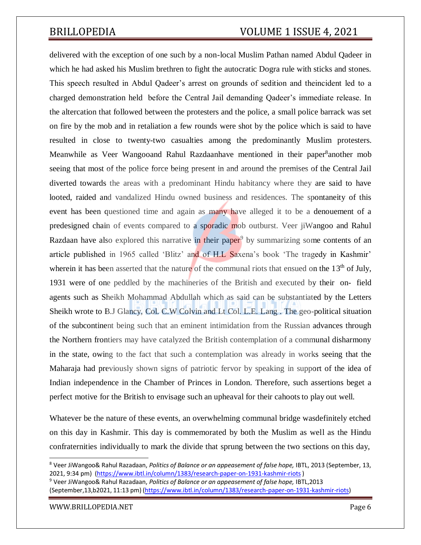delivered with the exception of one such by a non-local Muslim Pathan named Abdul Qadeer in which he had asked his Muslim brethren to fight the autocratic Dogra rule with sticks and stones. This speech resulted in Abdul Qadeer's arrest on grounds of sedition and theincident led to a charged demonstration held before the Central Jail demanding Qadeer's immediate release. In the altercation that followed between the protesters and the police, a small police barrack was set on fire by the mob and in retaliation a few rounds were shot by the police which is said to have resulted in close to twenty-two casualties among the predominantly Muslim protesters. Meanwhile as Veer Wangooand Rahul Razdaanhave mentioned in their paper<sup>8</sup>another mob seeing that most of the police force being present in and around the premises of the Central Jail diverted towards the areas with a predominant Hindu habitancy where they are said to have looted, raided and vandalized Hindu owned business and residences. The spontaneity of this event has been questioned time and again as many have alleged it to be a denouement of a predesigned chain of events compared to a sporadic mob outburst. Veer jiWangoo and Rahul Razdaan have also explored this narrative in their paper<sup>9</sup> by summarizing some contents of an article published in 1965 called 'Blitz' and of H.L Saxena's book 'The tragedy in Kashmir' wherein it has been asserted that the nature of the communal riots that ensued on the 13<sup>th</sup> of July, 1931 were of one peddled by the machineries of the British and executed by their on- field agents such as Sheikh Mohammad Abdullah which as said can be substantiated by the Letters Sheikh wrote to B.J Glancy, Col. C.W Colvin and Lt Col. L.E. Lang . The geo-political situation of the subcontinent being such that an eminent intimidation from the Russian advances through the Northern frontiers may have catalyzed the British contemplation of a communal disharmony in the state, owing to the fact that such a contemplation was already in works seeing that the Maharaja had previously shown signs of patriotic fervor by speaking in support of the idea of Indian independence in the Chamber of Princes in London. Therefore, such assertions beget a perfect motive for the British to envisage such an upheaval for their cahoots to play out well.

Whatever be the nature of these events, an overwhelming communal bridge wasdefinitely etched on this day in Kashmir. This day is commemorated by both the Muslim as well as the Hindu confraternities individually to mark the divide that sprung between the two sections on this day,

<sup>8</sup> Veer JiWangoo& Rahul Razadaan, *Politics of Balance or an appeasement of false hope,* IBTL, 2013 (September, 13, 2021, 9:34 pm) [\(https://www.ibtl.in/column/1383/research-paper-on-1931-kashmir-riots\)](https://www.ibtl.in/column/1383/research-paper-on-1931-kashmir-riots)

<sup>9</sup> Veer JiWangoo& Rahul Razadaan, *Politics of Balance or an appeasement of false hope,* IBTL,2013 (September,13,b2021, 11:13 pm) [\(https://www.ibtl.in/column/1383/research-paper-on-1931-kashmir-riots\)](https://www.ibtl.in/column/1383/research-paper-on-1931-kashmir-riots)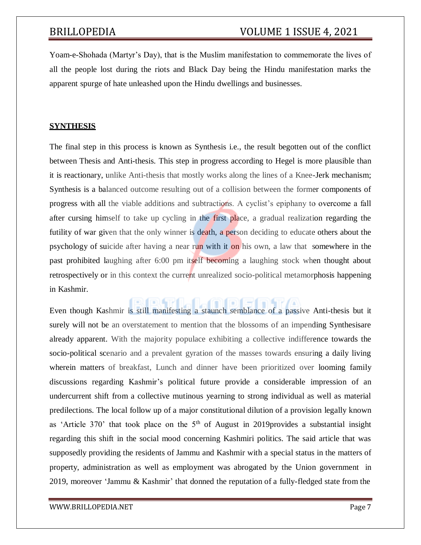Yoam-e-Shohada (Martyr's Day), that is the Muslim manifestation to commemorate the lives of all the people lost during the riots and Black Day being the Hindu manifestation marks the apparent spurge of hate unleashed upon the Hindu dwellings and businesses.

### **SYNTHESIS**

The final step in this process is known as Synthesis i.e., the result begotten out of the conflict between Thesis and Anti-thesis. This step in progress according to Hegel is more plausible than it is reactionary, unlike Anti-thesis that mostly works along the lines of a Knee-Jerk mechanism; Synthesis is a balanced outcome resulting out of a collision between the former components of progress with all the viable additions and subtractions. A cyclist's epiphany to overcome a fall after cursing himself to take up cycling in the first place, a gradual realization regarding the futility of war given that the only winner is death, a person deciding to educate others about the psychology of suicide after having a near run with it on his own, a law that somewhere in the past prohibited laughing after 6:00 pm itself becoming a laughing stock when thought about retrospectively or in this context the current unrealized socio-political metamorphosis happening in Kashmir.

Even though Kashmir is still manifesting a staunch semblance of a passive Anti-thesis but it surely will not be an overstatement to mention that the blossoms of an impending Synthesisare already apparent. With the majority populace exhibiting a collective indifference towards the socio-political scenario and a prevalent gyration of the masses towards ensuring a daily living wherein matters of breakfast, Lunch and dinner have been prioritized over looming family discussions regarding Kashmir's political future provide a considerable impression of an undercurrent shift from a collective mutinous yearning to strong individual as well as material predilections. The local follow up of a major constitutional dilution of a provision legally known as 'Article 370' that took place on the  $5<sup>th</sup>$  of August in 2019 provides a substantial insight regarding this shift in the social mood concerning Kashmiri politics. The said article that was supposedly providing the residents of Jammu and Kashmir with a special status in the matters of property, administration as well as employment was abrogated by the Union government in 2019, moreover 'Jammu & Kashmir' that donned the reputation of a fully-fledged state from the